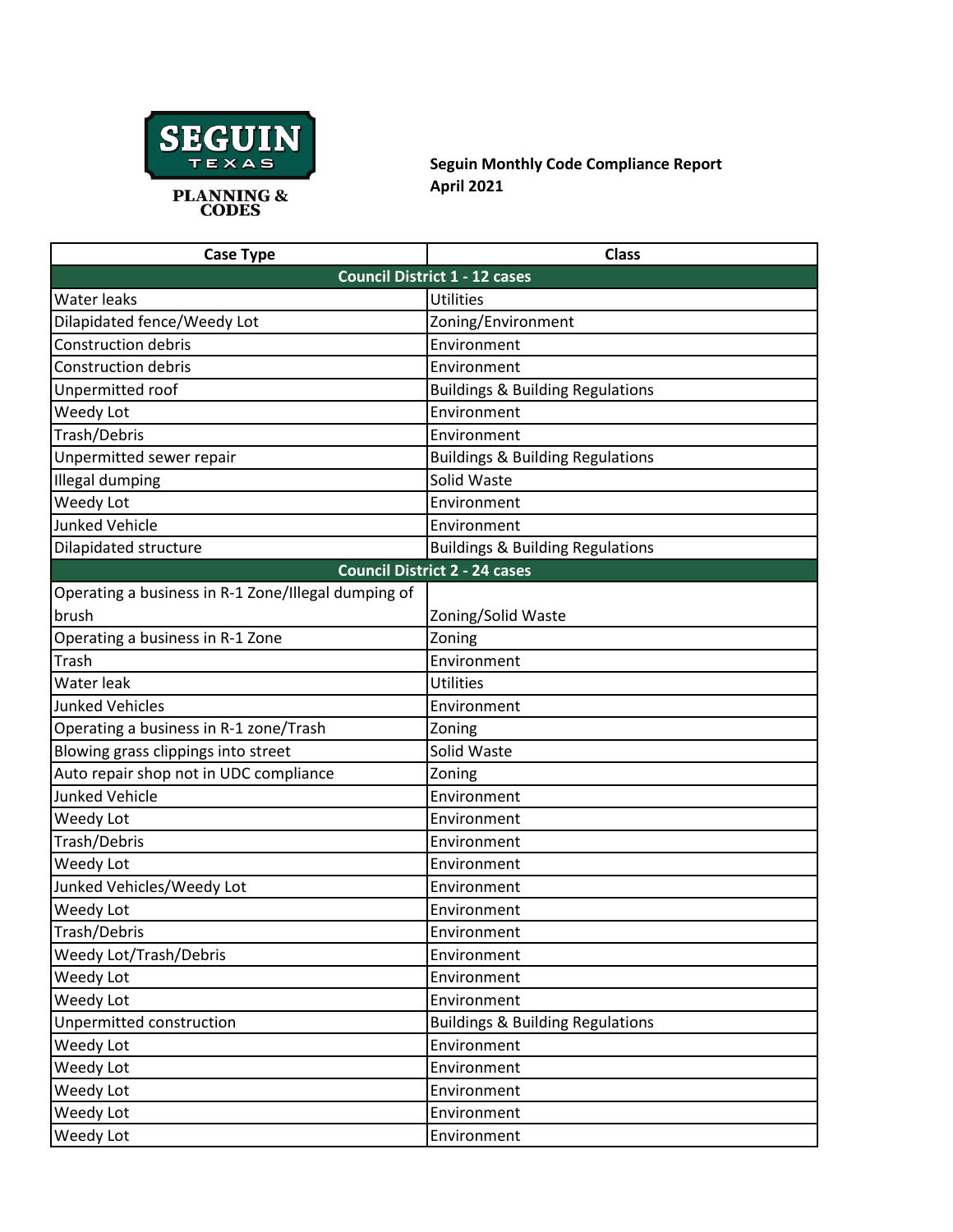

**Seguin Monthly Code Compliance Report April 2021**

| <b>Case Type</b>                                    | <b>Class</b>                                |
|-----------------------------------------------------|---------------------------------------------|
|                                                     | <b>Council District 1 - 12 cases</b>        |
| <b>Water leaks</b>                                  | <b>Utilities</b>                            |
| Dilapidated fence/Weedy Lot                         | Zoning/Environment                          |
| <b>Construction debris</b>                          | Environment                                 |
| <b>Construction debris</b>                          | Environment                                 |
| Unpermitted roof                                    | <b>Buildings &amp; Building Regulations</b> |
| Weedy Lot                                           | Environment                                 |
| Trash/Debris                                        | Environment                                 |
| Unpermitted sewer repair                            | <b>Buildings &amp; Building Regulations</b> |
| <b>Illegal dumping</b>                              | Solid Waste                                 |
| Weedy Lot                                           | Environment                                 |
| <b>Junked Vehicle</b>                               | Environment                                 |
| Dilapidated structure                               | <b>Buildings &amp; Building Regulations</b> |
|                                                     | <b>Council District 2 - 24 cases</b>        |
| Operating a business in R-1 Zone/Illegal dumping of |                                             |
| brush                                               | Zoning/Solid Waste                          |
| Operating a business in R-1 Zone                    | Zoning                                      |
| Trash                                               | Environment                                 |
| Water leak                                          | <b>Utilities</b>                            |
| <b>Junked Vehicles</b>                              | Environment                                 |
| Operating a business in R-1 zone/Trash              | Zoning                                      |
| Blowing grass clippings into street                 | Solid Waste                                 |
| Auto repair shop not in UDC compliance              | Zoning                                      |
| <b>Junked Vehicle</b>                               | Environment                                 |
| Weedy Lot                                           | Environment                                 |
| Trash/Debris                                        | Environment                                 |
| Weedy Lot                                           | Environment                                 |
| Junked Vehicles/Weedy Lot                           | Environment                                 |
| Weedy Lot                                           | Environment                                 |
| Trash/Debris                                        | Environment                                 |
| Weedy Lot/Trash/Debris                              | Environment                                 |
| Weedy Lot                                           | Environment                                 |
| Weedy Lot                                           | Environment                                 |
| Unpermitted construction                            | <b>Buildings &amp; Building Regulations</b> |
| Weedy Lot                                           | Environment                                 |
| Weedy Lot                                           | Environment                                 |
| Weedy Lot                                           | Environment                                 |
| Weedy Lot                                           | Environment                                 |
| Weedy Lot                                           | Environment                                 |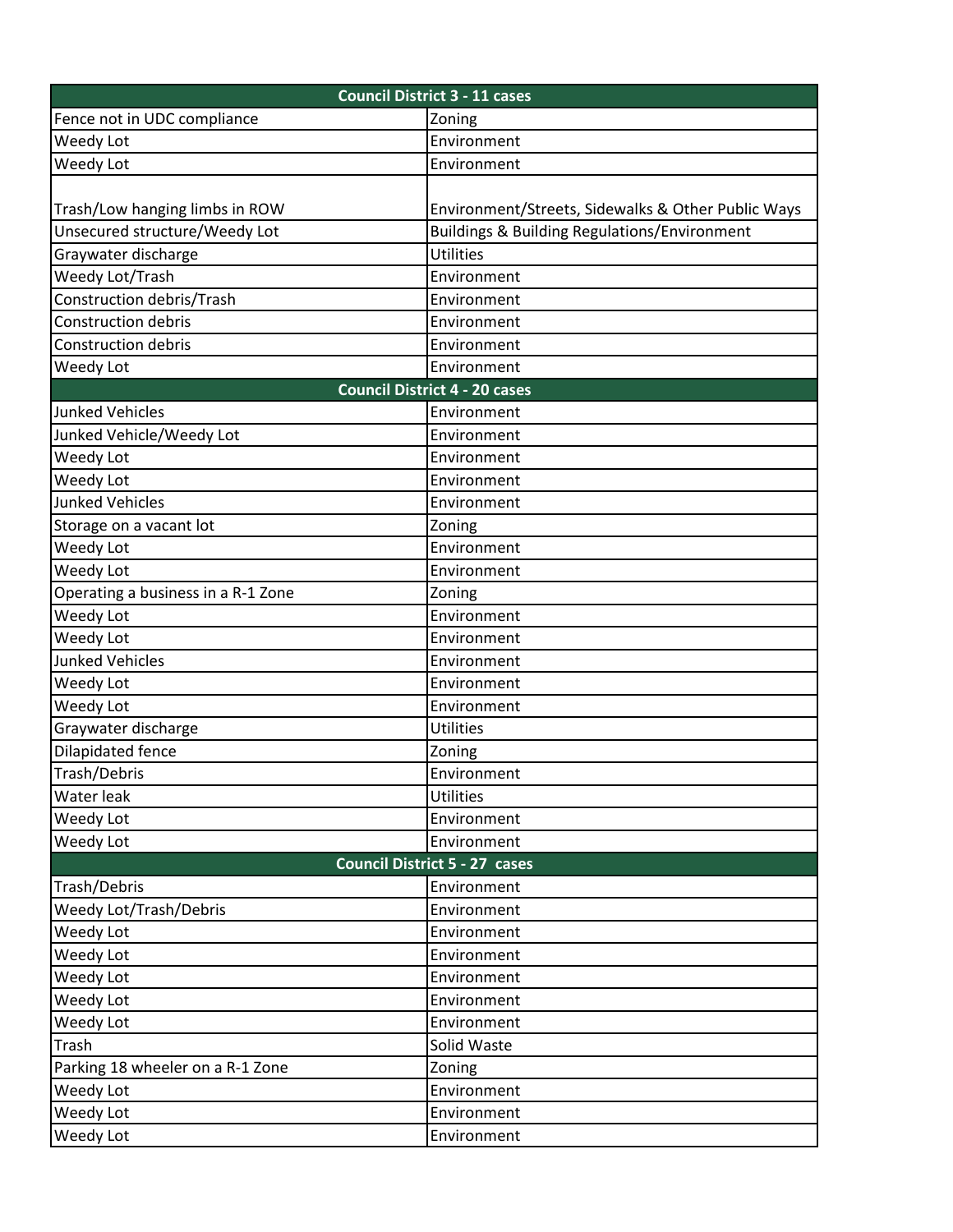|                                      | <b>Council District 3 - 11 cases</b>                    |  |  |  |
|--------------------------------------|---------------------------------------------------------|--|--|--|
| Fence not in UDC compliance          | Zoning                                                  |  |  |  |
| <b>Weedy Lot</b>                     | Environment                                             |  |  |  |
| Weedy Lot                            | Environment                                             |  |  |  |
|                                      |                                                         |  |  |  |
| Trash/Low hanging limbs in ROW       | Environment/Streets, Sidewalks & Other Public Ways      |  |  |  |
| Unsecured structure/Weedy Lot        | <b>Buildings &amp; Building Regulations/Environment</b> |  |  |  |
| Graywater discharge                  | <b>Utilities</b>                                        |  |  |  |
| Weedy Lot/Trash                      | Environment                                             |  |  |  |
| Construction debris/Trash            | Environment                                             |  |  |  |
| Construction debris                  | Environment                                             |  |  |  |
| Construction debris                  | Environment                                             |  |  |  |
| Weedy Lot                            | Environment                                             |  |  |  |
|                                      | <b>Council District 4 - 20 cases</b>                    |  |  |  |
| <b>Junked Vehicles</b>               | Environment                                             |  |  |  |
| Junked Vehicle/Weedy Lot             | Environment                                             |  |  |  |
| <b>Weedy Lot</b>                     | Environment                                             |  |  |  |
| Weedy Lot                            | Environment                                             |  |  |  |
| <b>Junked Vehicles</b>               | Environment                                             |  |  |  |
| Storage on a vacant lot              | Zoning                                                  |  |  |  |
| Weedy Lot                            | Environment                                             |  |  |  |
| Weedy Lot                            | Environment                                             |  |  |  |
| Operating a business in a R-1 Zone   | Zoning                                                  |  |  |  |
| Weedy Lot                            | Environment                                             |  |  |  |
| Weedy Lot                            | Environment                                             |  |  |  |
| Junked Vehicles                      | Environment                                             |  |  |  |
| Weedy Lot                            | Environment                                             |  |  |  |
| Weedy Lot                            | Environment                                             |  |  |  |
| Graywater discharge                  | <b>Utilities</b>                                        |  |  |  |
| <b>Dilapidated fence</b>             | Zoning                                                  |  |  |  |
| Trash/Debris                         | Environment                                             |  |  |  |
| Water leak                           | <b>Utilities</b>                                        |  |  |  |
| Weedy Lot                            | Environment                                             |  |  |  |
| <b>Weedy Lot</b>                     | Environment                                             |  |  |  |
| <b>Council District 5 - 27 cases</b> |                                                         |  |  |  |
| Trash/Debris                         | Environment                                             |  |  |  |
| <b>Weedy Lot/Trash/Debris</b>        | Environment                                             |  |  |  |
| Weedy Lot                            | Environment                                             |  |  |  |
| Weedy Lot                            | Environment                                             |  |  |  |
| Weedy Lot                            | Environment                                             |  |  |  |
| Weedy Lot                            | Environment                                             |  |  |  |
| Weedy Lot                            | Environment                                             |  |  |  |
| Trash                                | Solid Waste                                             |  |  |  |
| Parking 18 wheeler on a R-1 Zone     | Zoning                                                  |  |  |  |
| <b>Weedy Lot</b>                     | Environment                                             |  |  |  |
| Weedy Lot                            | Environment                                             |  |  |  |
| Weedy Lot                            | Environment                                             |  |  |  |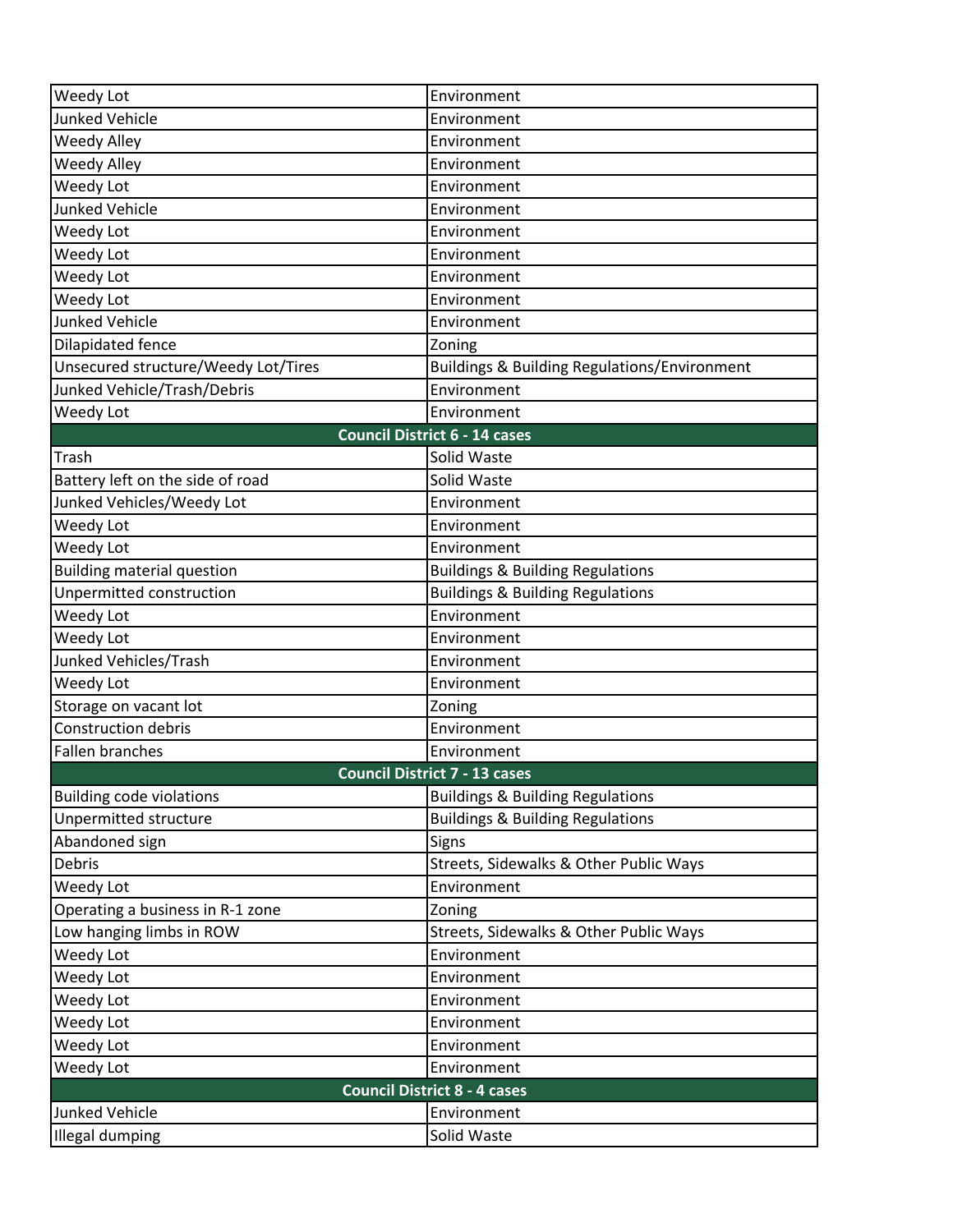| Weedy Lot                           | Environment                                  |
|-------------------------------------|----------------------------------------------|
| <b>Junked Vehicle</b>               | Environment                                  |
| <b>Weedy Alley</b>                  | Environment                                  |
| Weedy Alley                         | Environment                                  |
| Weedy Lot                           | Environment                                  |
| <b>Junked Vehicle</b>               | Environment                                  |
| Weedy Lot                           | Environment                                  |
| Weedy Lot                           | Environment                                  |
| Weedy Lot                           | Environment                                  |
| Weedy Lot                           | Environment                                  |
| <b>Junked Vehicle</b>               | Environment                                  |
| Dilapidated fence                   | Zoning                                       |
| Unsecured structure/Weedy Lot/Tires | Buildings & Building Regulations/Environment |
| Junked Vehicle/Trash/Debris         | Environment                                  |
| Weedy Lot                           | Environment                                  |
|                                     | <b>Council District 6 - 14 cases</b>         |
| Trash                               | Solid Waste                                  |
| Battery left on the side of road    | Solid Waste                                  |
| Junked Vehicles/Weedy Lot           | Environment                                  |
| Weedy Lot                           | Environment                                  |
| Weedy Lot                           | Environment                                  |
| <b>Building material question</b>   | <b>Buildings &amp; Building Regulations</b>  |
| Unpermitted construction            | <b>Buildings &amp; Building Regulations</b>  |
| Weedy Lot                           | Environment                                  |
| Weedy Lot                           | Environment                                  |
| Junked Vehicles/Trash               | Environment                                  |
| Weedy Lot                           | Environment                                  |
| Storage on vacant lot               | Zoning                                       |
| <b>Construction debris</b>          | Environment                                  |
| <b>Fallen branches</b>              | Environment                                  |
|                                     | <b>Council District 7 - 13 cases</b>         |
| <b>Building code violations</b>     | <b>Buildings &amp; Building Regulations</b>  |
| Unpermitted structure               | <b>Buildings &amp; Building Regulations</b>  |
| Abandoned sign                      | Signs                                        |
| Debris                              | Streets, Sidewalks & Other Public Ways       |
| Weedy Lot                           | Environment                                  |
| Operating a business in R-1 zone    | Zoning                                       |
| Low hanging limbs in ROW            | Streets, Sidewalks & Other Public Ways       |
| Weedy Lot                           | Environment                                  |
| Weedy Lot                           | Environment                                  |
| Weedy Lot                           | Environment                                  |
| Weedy Lot                           | Environment                                  |
| Weedy Lot                           | Environment                                  |
| Weedy Lot                           | Environment                                  |
|                                     | <b>Council District 8 - 4 cases</b>          |
| <b>Junked Vehicle</b>               | Environment                                  |
| <b>Illegal dumping</b>              | Solid Waste                                  |